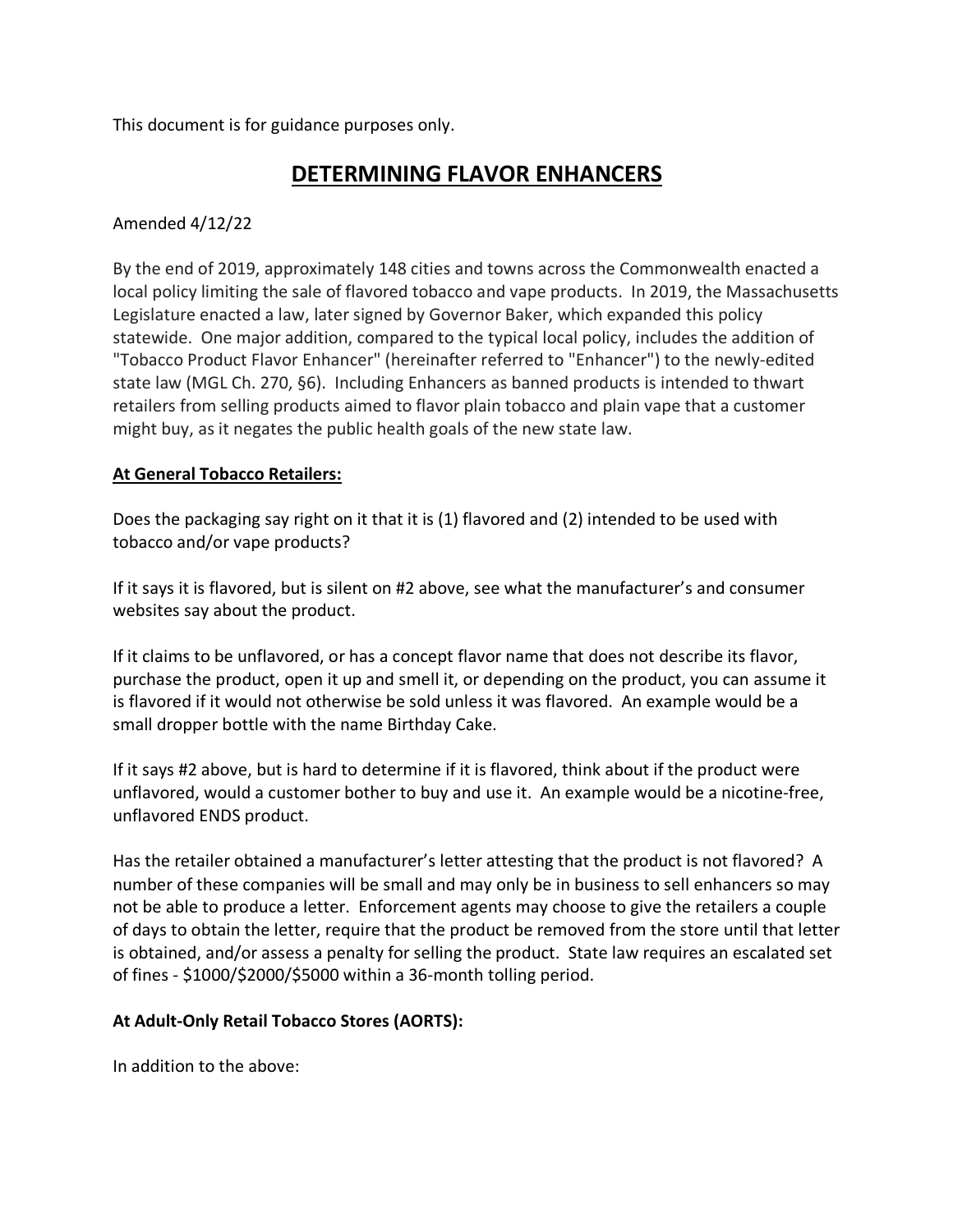This document is for guidance purposes only.

## **DETERMINING FLAVOR ENHANCERS**

## Amended 4/12/22

By the end of 2019, approximately 148 cities and towns across the Commonwealth enacted a local policy limiting the sale of flavored tobacco and vape products. In 2019, the Massachusetts Legislature enacted a law, later signed by Governor Baker, which expanded this policy statewide. One major addition, compared to the typical local policy, includes the addition of "Tobacco Product Flavor Enhancer" (hereinafter referred to "Enhancer") to the newly-edited state law (MGL Ch. 270, §6). Including Enhancers as banned products is intended to thwart retailers from selling products aimed to flavor plain tobacco and plain vape that a customer might buy, as it negates the public health goals of the new state law.

## **At General Tobacco Retailers:**

Does the packaging say right on it that it is (1) flavored and (2) intended to be used with tobacco and/or vape products?

If it says it is flavored, but is silent on #2 above, see what the manufacturer's and consumer websites say about the product.

If it claims to be unflavored, or has a concept flavor name that does not describe its flavor, purchase the product, open it up and smell it, or depending on the product, you can assume it is flavored if it would not otherwise be sold unless it was flavored. An example would be a small dropper bottle with the name Birthday Cake.

If it says #2 above, but is hard to determine if it is flavored, think about if the product were unflavored, would a customer bother to buy and use it. An example would be a nicotine-free, unflavored ENDS product.

Has the retailer obtained a manufacturer's letter attesting that the product is not flavored? A number of these companies will be small and may only be in business to sell enhancers so may not be able to produce a letter. Enforcement agents may choose to give the retailers a couple of days to obtain the letter, require that the product be removed from the store until that letter is obtained, and/or assess a penalty for selling the product. State law requires an escalated set of fines - \$1000/\$2000/\$5000 within a 36-month tolling period.

## **At Adult-Only Retail Tobacco Stores (AORTS):**

In addition to the above: